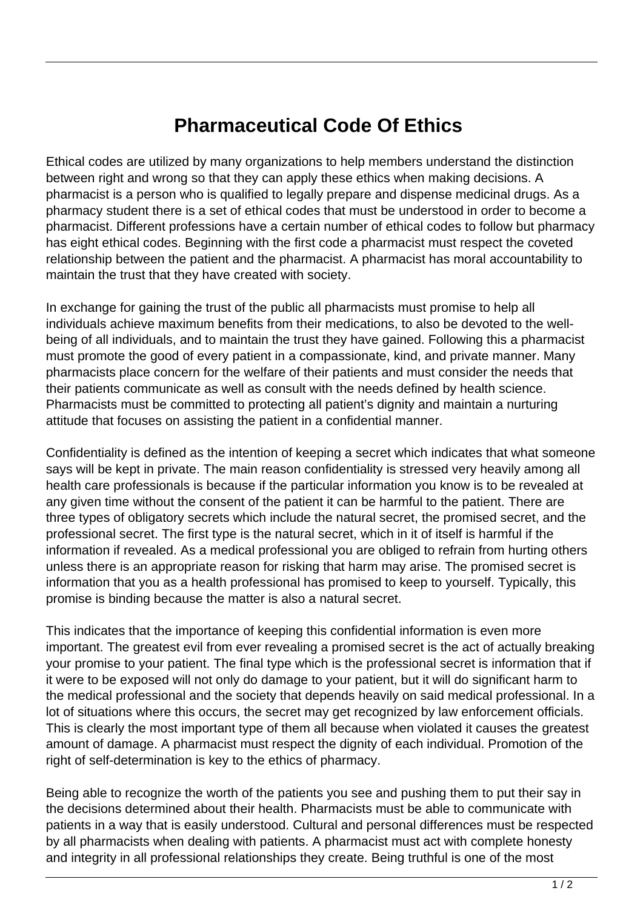## **Pharmaceutical Code Of Ethics**

Ethical codes are utilized by many organizations to help members understand the distinction between right and wrong so that they can apply these ethics when making decisions. A pharmacist is a person who is qualified to legally prepare and dispense medicinal drugs. As a pharmacy student there is a set of ethical codes that must be understood in order to become a pharmacist. Different professions have a certain number of ethical codes to follow but pharmacy has eight ethical codes. Beginning with the first code a pharmacist must respect the coveted relationship between the patient and the pharmacist. A pharmacist has moral accountability to maintain the trust that they have created with society.

In exchange for gaining the trust of the public all pharmacists must promise to help all individuals achieve maximum benefits from their medications, to also be devoted to the wellbeing of all individuals, and to maintain the trust they have gained. Following this a pharmacist must promote the good of every patient in a compassionate, kind, and private manner. Many pharmacists place concern for the welfare of their patients and must consider the needs that their patients communicate as well as consult with the needs defined by health science. Pharmacists must be committed to protecting all patient's dignity and maintain a nurturing attitude that focuses on assisting the patient in a confidential manner.

Confidentiality is defined as the intention of keeping a secret which indicates that what someone says will be kept in private. The main reason confidentiality is stressed very heavily among all health care professionals is because if the particular information you know is to be revealed at any given time without the consent of the patient it can be harmful to the patient. There are three types of obligatory secrets which include the natural secret, the promised secret, and the professional secret. The first type is the natural secret, which in it of itself is harmful if the information if revealed. As a medical professional you are obliged to refrain from hurting others unless there is an appropriate reason for risking that harm may arise. The promised secret is information that you as a health professional has promised to keep to yourself. Typically, this promise is binding because the matter is also a natural secret.

This indicates that the importance of keeping this confidential information is even more important. The greatest evil from ever revealing a promised secret is the act of actually breaking your promise to your patient. The final type which is the professional secret is information that if it were to be exposed will not only do damage to your patient, but it will do significant harm to the medical professional and the society that depends heavily on said medical professional. In a lot of situations where this occurs, the secret may get recognized by law enforcement officials. This is clearly the most important type of them all because when violated it causes the greatest amount of damage. A pharmacist must respect the dignity of each individual. Promotion of the right of self-determination is key to the ethics of pharmacy.

Being able to recognize the worth of the patients you see and pushing them to put their say in the decisions determined about their health. Pharmacists must be able to communicate with patients in a way that is easily understood. Cultural and personal differences must be respected by all pharmacists when dealing with patients. A pharmacist must act with complete honesty and integrity in all professional relationships they create. Being truthful is one of the most